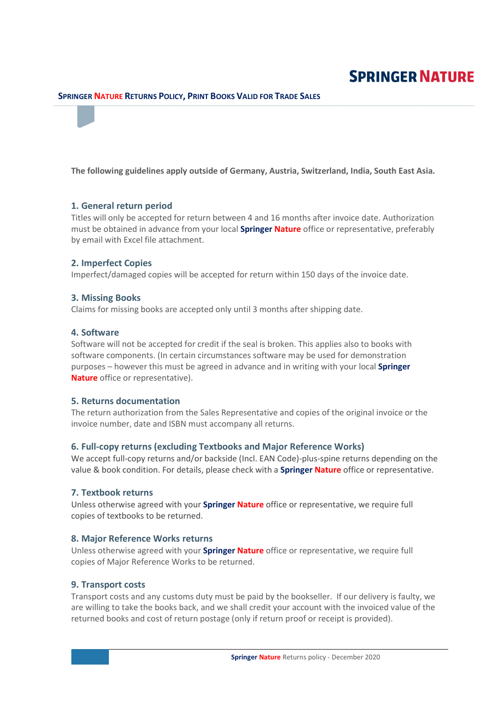# **SPRINGER NATURE**

# SPRINGER NATURE RETURNS POLICY, PRINT BOOKS VALID FOR TRADE SALES

The following guidelines apply outside of Germany, Austria, Switzerland, India, South East Asia.

#### 1. General return period

Titles will only be accepted for return between 4 and 16 months after invoice date. Authorization must be obtained in advance from your local **Springer Nature** office or representative, preferably by email with Excel file attachment.

### 2. Imperfect Copies

Imperfect/damaged copies will be accepted for return within 150 days of the invoice date.

#### 3. Missing Books

Claims for missing books are accepted only until 3 months after shipping date.

#### 4. Software

Software will not be accepted for credit if the seal is broken. This applies also to books with software components. (In certain circumstances software may be used for demonstration purposes – however this must be agreed in advance and in writing with your local **Springer** Nature office or representative).

#### 5. Returns documentation

The return authorization from the Sales Representative and copies of the original invoice or the invoice number, date and ISBN must accompany all returns.

# 6. Full-copy returns (excluding Textbooks and Major Reference Works)

We accept full-copy returns and/or backside (Incl. EAN Code)-plus-spine returns depending on the value & book condition. For details, please check with a **Springer Nature** office or representative.

## 7. Textbook returns

Unless otherwise agreed with your **Springer Nature** office or representative, we require full copies of textbooks to be returned.

#### 8. Major Reference Works returns

Unless otherwise agreed with your **Springer Nature** office or representative, we require full copies of Major Reference Works to be returned.

#### 9. Transport costs

Transport costs and any customs duty must be paid by the bookseller. If our delivery is faulty, we are willing to take the books back, and we shall credit your account with the invoiced value of the returned books and cost of return postage (only if return proof or receipt is provided).